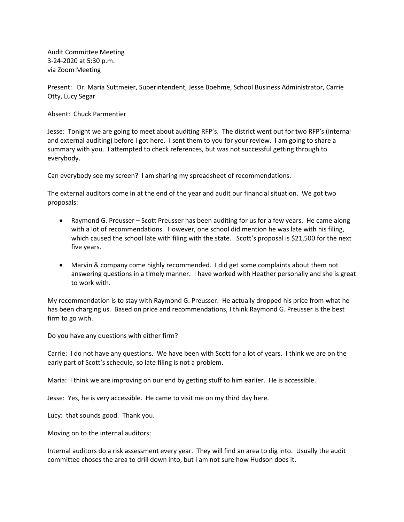Audit Committee Meeting 3-24-2020 at 5:30 p.m. via Zoom Meeting

Present: Dr. Maria Suttmeier, Superintendent, Jesse Boehme, School Business Administrator, Carrie Otty, Lucy Segar

Absent: Chuck Parmentier

Jesse: Tonight we are going to meet about auditing RFP's. The district went out for two RFP's (internal and external auditing) before I got here. I sent them to you for your review. I am going to share a summary with you. I attempted to check references, but was not successful getting through to everybody.

Can everybody see my screen? I am sharing my spreadsheet of recommendations.

The external auditors come in at the end of the year and audit our financial situation. We got two proposals:

- Raymond G. Preusser Scott Preusser has been auditing for us for a few years. He came along with a lot of recommendations. However, one school did mention he was late with his filing, which caused the school late with filing with the state. Scott's proposal is \$21,500 for the next five years.
- Marvin & company come highly recommended. I did get some complaints about them not answering questions in a timely manner. I have worked with Heather personally and she is great to work with.

My recommendation is to stay with Raymond G. Preusser. He actually dropped his price from what he has been charging us. Based on price and recommendations, I think Raymond G. Preusser is the best firm to go with.

Do you have any questions with either firm?

Carrie: I do not have any questions. We have been with Scott for a lot of years. I think we are on the early part of Scott's schedule, so late filing is not a problem.

Maria: I think we are improving on our end by getting stuff to him earlier. He is accessible.

Jesse: Yes, he is very accessible. He came to visit me on my third day here.

Lucy: that sounds good. Thank you.

Moving on to the internal auditors:

Internal auditors do a risk assessment every year. They will find an area to dig into. Usually the audit committee choses the area to drill down into, but I am not sure how Hudson does it.